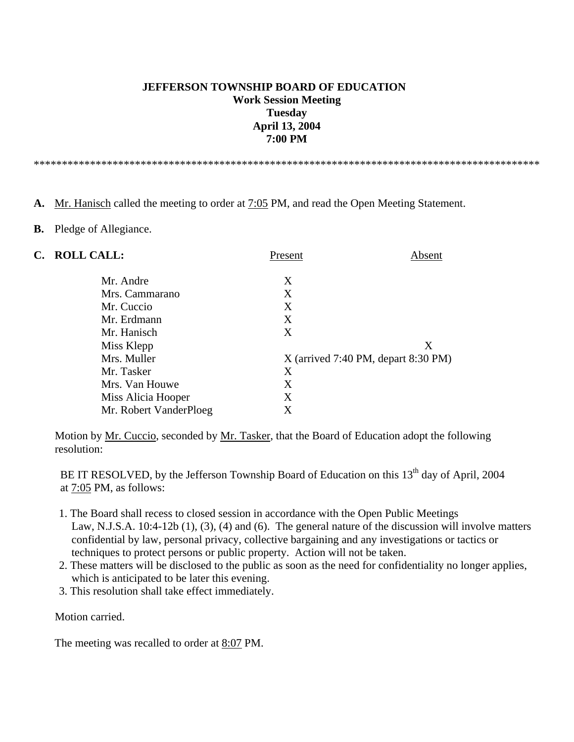## **JEFFERSON TOWNSHIP BOARD OF EDUCATION Work Session Meeting Tuesday April 13, 2004 7:00 PM**

\*\*\*\*\*\*\*\*\*\*\*\*\*\*\*\*\*\*\*\*\*\*\*\*\*\*\*\*\*\*\*\*\*\*\*\*\*\*\*\*\*\*\*\*\*\*\*\*\*\*\*\*\*\*\*\*\*\*\*\*\*\*\*\*\*\*\*\*\*\*\*\*\*\*\*\*\*\*\*\*\*\*\*\*\*\*\*\*\*\*

#### **A.** Mr. Hanisch called the meeting to order at 7:05 PM, and read the Open Meeting Statement.

#### **B.** Pledge of Allegiance.

| <b>ROLL CALL:</b>      | Present                               | Absent |
|------------------------|---------------------------------------|--------|
| Mr. Andre              | X                                     |        |
| Mrs. Cammarano         | X                                     |        |
| Mr. Cuccio             | X                                     |        |
| Mr. Erdmann            | X                                     |        |
| Mr. Hanisch            | X                                     |        |
| Miss Klepp             |                                       | Χ      |
| Mrs. Muller            | $X$ (arrived 7:40 PM, depart 8:30 PM) |        |
| Mr. Tasker             | X                                     |        |
| Mrs. Van Houwe         | Χ                                     |        |
| Miss Alicia Hooper     | Χ                                     |        |
| Mr. Robert VanderPloeg | X                                     |        |
|                        |                                       |        |

Motion by <u>Mr. Cuccio</u>, seconded by <u>Mr. Tasker</u>, that the Board of Education adopt the following resolution:

BE IT RESOLVED, by the Jefferson Township Board of Education on this 13<sup>th</sup> day of April, 2004 at 7:05 PM, as follows:

- 1. The Board shall recess to closed session in accordance with the Open Public Meetings Law, N.J.S.A. 10:4-12b (1), (3), (4) and (6). The general nature of the discussion will involve matters confidential by law, personal privacy, collective bargaining and any investigations or tactics or techniques to protect persons or public property. Action will not be taken.
- 2. These matters will be disclosed to the public as soon as the need for confidentiality no longer applies, which is anticipated to be later this evening.
- 3. This resolution shall take effect immediately.

Motion carried.

The meeting was recalled to order at 8:07 PM.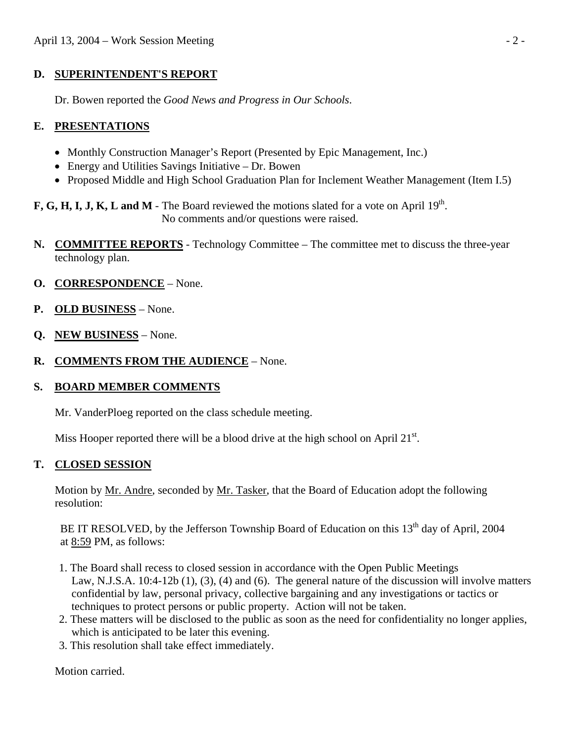## **D. SUPERINTENDENT'S REPORT**

Dr. Bowen reported the *Good News and Progress in Our Schools*.

# **E. PRESENTATIONS**

- Monthly Construction Manager's Report (Presented by Epic Management, Inc.)
- Energy and Utilities Savings Initiative Dr. Bowen
- Proposed Middle and High School Graduation Plan for Inclement Weather Management (Item I.5)

**F, G, H, I, J, K, L and M** - The Board reviewed the motions slated for a vote on April 19<sup>th</sup>. No comments and/or questions were raised.

- **N. COMMITTEE REPORTS** Technology Committee The committee met to discuss the three-year technology plan.
- **O. CORRESPONDENCE** None.
- **P. OLD BUSINESS** None.
- **Q. NEW BUSINESS** None.
- **R. COMMENTS FROM THE AUDIENCE** None.

### **S. BOARD MEMBER COMMENTS**

Mr. VanderPloeg reported on the class schedule meeting.

Miss Hooper reported there will be a blood drive at the high school on April  $21<sup>st</sup>$ .

### **T. CLOSED SESSION**

 Motion by Mr. Andre, seconded by Mr. Tasker, that the Board of Education adopt the following resolution:

BE IT RESOLVED, by the Jefferson Township Board of Education on this  $13<sup>th</sup>$  day of April, 2004 at 8:59 PM, as follows:

- 1. The Board shall recess to closed session in accordance with the Open Public Meetings Law, N.J.S.A. 10:4-12b (1), (3), (4) and (6). The general nature of the discussion will involve matters confidential by law, personal privacy, collective bargaining and any investigations or tactics or techniques to protect persons or public property. Action will not be taken.
- 2. These matters will be disclosed to the public as soon as the need for confidentiality no longer applies, which is anticipated to be later this evening.
- 3. This resolution shall take effect immediately.

Motion carried.